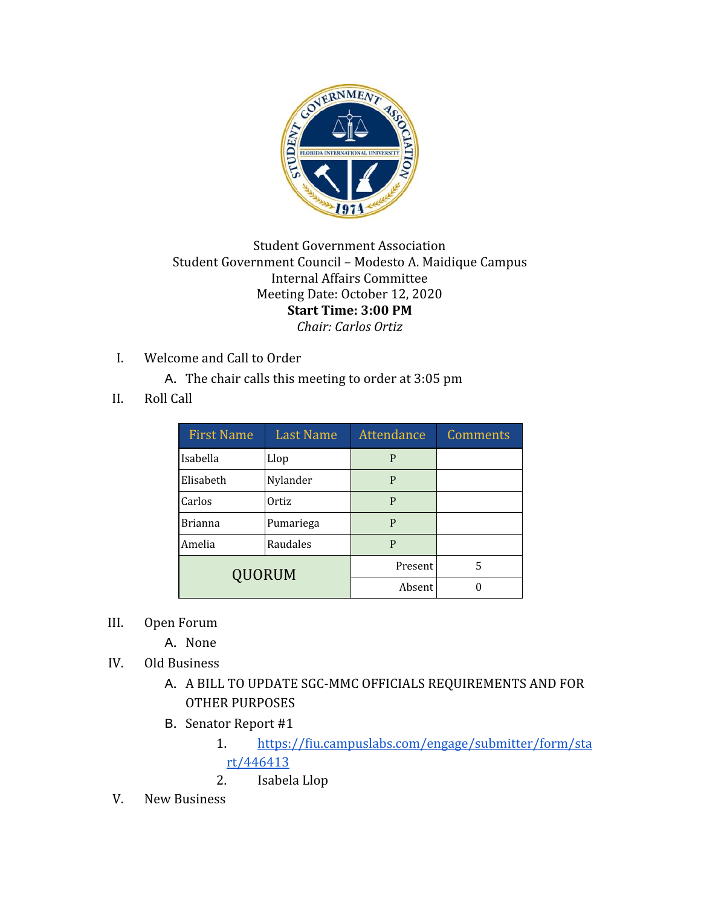

## Student Government Association Student Government Council – Modesto A. Maidique Campus Internal Affairs Committee Meeting Date: October 12, 2020 **Start Time: 3:00 PM** *Chair: Carlos Ortiz*

- I. Welcome and Call to Order
	- A. The chair calls this meeting to order at 3:05 pm
- II. Roll Call

| <b>First Name</b> | <b>Last Name</b> | Attendance | <b>Comments</b> |
|-------------------|------------------|------------|-----------------|
| Isabella          | Llop             | P          |                 |
| Elisabeth         | Nylander         | P          |                 |
| Carlos            | Ortiz            | P          |                 |
| <b>Brianna</b>    | Pumariega        | P          |                 |
| Amelia            | Raudales         | P          |                 |
| QUORUM            |                  | Present    | 5               |
|                   |                  | Absent     |                 |

- III. Open Forum
	- A. None
- IV. Old Business
	- A. A BILL TO UPDATE SGC-MMC OFFICIALS REQUIREMENTS AND FOR OTHER PURPOSES
	- B. Senator Report #1
		- 1. [https://fiu.campuslabs.com/engage/submitter/form/sta](https://fiu.campuslabs.com/engage/submitter/form/start/446413) [rt/446413](https://fiu.campuslabs.com/engage/submitter/form/start/446413)
		- 2. Isabela Llop
- V. New Business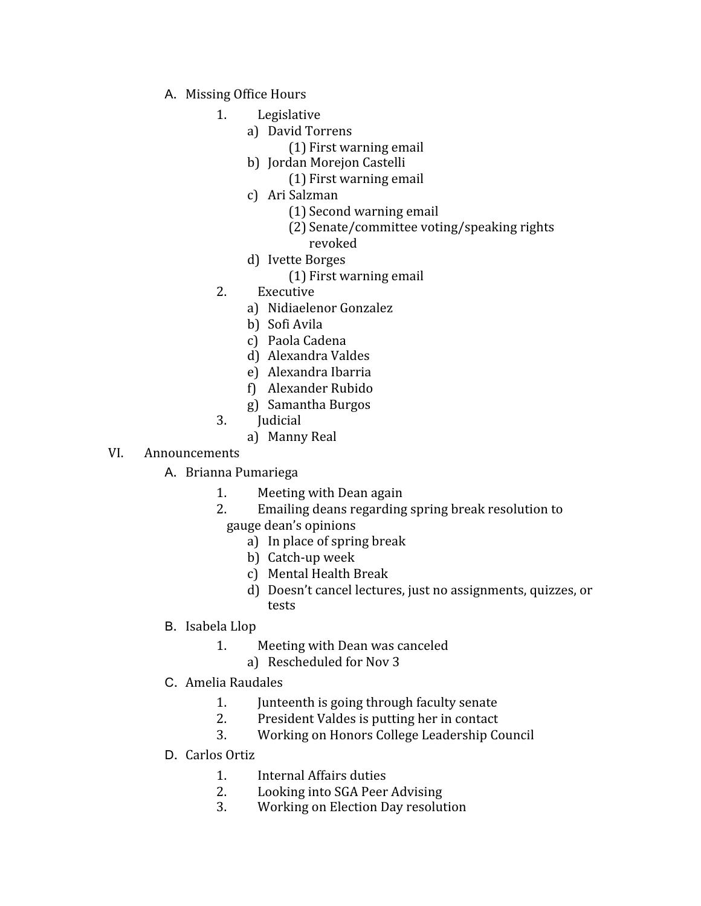- A. Missing Office Hours
	- 1. Legislative
		- a) David Torrens
			- (1) First warning email
		- b) Jordan Morejon Castelli
			- (1) First warning email
		- c) Ari Salzman
			- (1) Second warning email
			- (2) Senate/committee voting/speaking rights
			- revoked
		- d) Ivette Borges
			- (1) First warning email
	- 2. Executive
		- a) Nidiaelenor Gonzalez
		- b) Sofi Avila
		- c) Paola Cadena
		- d) Alexandra Valdes
		- e) Alexandra Ibarria
		- f) Alexander Rubido
		- g) Samantha Burgos
	- 3. Judicial
		- a) Manny Real

## VI. Announcements

- A. Brianna Pumariega
	- 1. Meeting with Dean again
	- 2. Emailing deans regarding spring break resolution to gauge dean's opinions
		- a) In place of spring break
		- b) Catch-up week
		- c) Mental Health Break
		- d) Doesn't cancel lectures, just no assignments, quizzes, or tests
- B. Isabela Llop
	- 1. Meeting with Dean was canceled
		- a) Rescheduled for Nov 3
- C. Amelia Raudales
	- 1. Junteenth is going through faculty senate
	- 2. President Valdes is putting her in contact
	- 3. Working on Honors College Leadership Council
- D. Carlos Ortiz
	- 1. Internal Affairs duties
	- 2. Looking into SGA Peer Advising
	- 3. Working on Election Day resolution